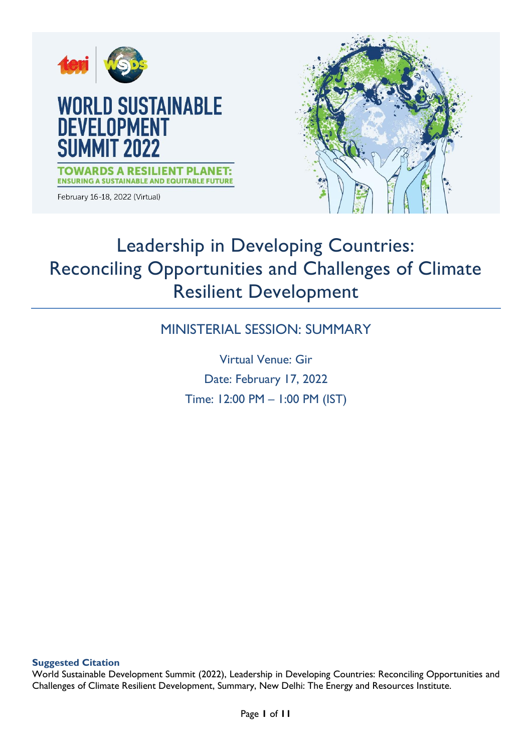

# Leadership in Developing Countries: Reconciling Opportunities and Challenges of Climate Resilient Development

# MINISTERIAL SESSION: SUMMARY

Virtual Venue: Gir Date: February 17, 2022 Time: 12:00 PM – 1:00 PM (IST)

**Suggested Citation**

World Sustainable Development Summit (2022), Leadership in Developing Countries: Reconciling Opportunities and Challenges of Climate Resilient Development, Summary, New Delhi: The Energy and Resources Institute.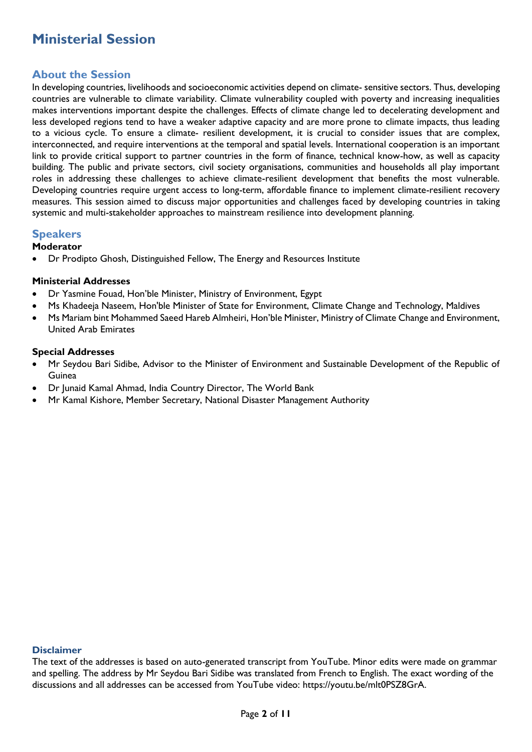## **Ministerial Session**

### **About the Session**

In developing countries, livelihoods and socioeconomic activities depend on climate- sensitive sectors. Thus, developing countries are vulnerable to climate variability. Climate vulnerability coupled with poverty and increasing inequalities makes interventions important despite the challenges. Effects of climate change led to decelerating development and less developed regions tend to have a weaker adaptive capacity and are more prone to climate impacts, thus leading to a vicious cycle. To ensure a climate- resilient development, it is crucial to consider issues that are complex, interconnected, and require interventions at the temporal and spatial levels. International cooperation is an important link to provide critical support to partner countries in the form of finance, technical know-how, as well as capacity building. The public and private sectors, civil society organisations, communities and households all play important roles in addressing these challenges to achieve climate-resilient development that benefits the most vulnerable. Developing countries require urgent access to long-term, affordable finance to implement climate-resilient recovery measures. This session aimed to discuss major opportunities and challenges faced by developing countries in taking systemic and multi-stakeholder approaches to mainstream resilience into development planning.

### **Speakers**

#### **Moderator**

Dr Prodipto Ghosh, Distinguished Fellow, The Energy and Resources Institute

#### **Ministerial Addresses**

- Dr Yasmine Fouad, Hon'ble Minister, Ministry of Environment, Egypt
- Ms Khadeeja Naseem, Hon'ble Minister of State for Environment, Climate Change and Technology, Maldives
- Ms Mariam bint Mohammed Saeed Hareb Almheiri, Hon'ble Minister, Ministry of Climate Change and Environment, United Arab Emirates

#### **Special Addresses**

- Mr Seydou Bari Sidibe, Advisor to the Minister of Environment and Sustainable Development of the Republic of Guinea
- Dr Junaid Kamal Ahmad, India Country Director, The World Bank
- Mr Kamal Kishore, Member Secretary, National Disaster Management Authority

#### **Disclaimer**

The text of the addresses is based on auto-generated transcript from YouTube. Minor edits were made on grammar and spelling. The address by Mr Seydou Bari Sidibe was translated from French to English. The exact wording of the discussions and all addresses can be accessed from YouTube video: https://youtu.be/mlt0PSZ8GrA.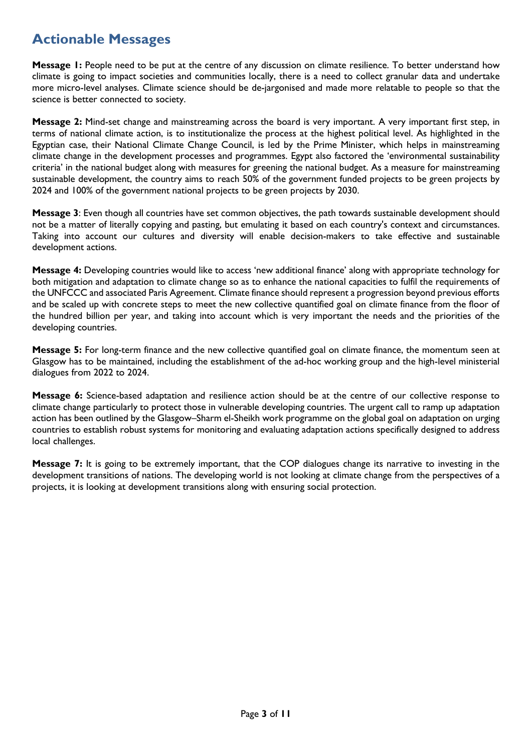# **Actionable Messages**

**Message 1:** People need to be put at the centre of any discussion on climate resilience. To better understand how climate is going to impact societies and communities locally, there is a need to collect granular data and undertake more micro-level analyses. Climate science should be de-jargonised and made more relatable to people so that the science is better connected to society.

**Message 2:** Mind-set change and mainstreaming across the board is very important. A very important first step, in terms of national climate action, is to institutionalize the process at the highest political level. As highlighted in the Egyptian case, their National Climate Change Council, is led by the Prime Minister, which helps in mainstreaming climate change in the development processes and programmes. Egypt also factored the 'environmental sustainability criteria' in the national budget along with measures for greening the national budget. As a measure for mainstreaming sustainable development, the country aims to reach 50% of the government funded projects to be green projects by 2024 and 100% of the government national projects to be green projects by 2030.

**Message 3**: Even though all countries have set common objectives, the path towards sustainable development should not be a matter of literally copying and pasting, but emulating it based on each country's context and circumstances. Taking into account our cultures and diversity will enable decision-makers to take effective and sustainable development actions.

**Message 4:** Developing countries would like to access 'new additional finance' along with appropriate technology for both mitigation and adaptation to climate change so as to enhance the national capacities to fulfil the requirements of the UNFCCC and associated Paris Agreement. Climate finance should represent a progression beyond previous efforts and be scaled up with concrete steps to meet the new collective quantified goal on climate finance from the floor of the hundred billion per year, and taking into account which is very important the needs and the priorities of the developing countries.

**Message 5:** For long-term finance and the new collective quantified goal on climate finance, the momentum seen at Glasgow has to be maintained, including the establishment of the ad-hoc working group and the high-level ministerial dialogues from 2022 to 2024.

**Message 6:** Science-based adaptation and resilience action should be at the centre of our collective response to climate change particularly to protect those in vulnerable developing countries. The urgent call to ramp up adaptation action has been outlined by the Glasgow–Sharm el-Sheikh work programme on the global goal on adaptation on urging countries to establish robust systems for monitoring and evaluating adaptation actions specifically designed to address local challenges.

**Message 7:** It is going to be extremely important, that the COP dialogues change its narrative to investing in the development transitions of nations. The developing world is not looking at climate change from the perspectives of a projects, it is looking at development transitions along with ensuring social protection.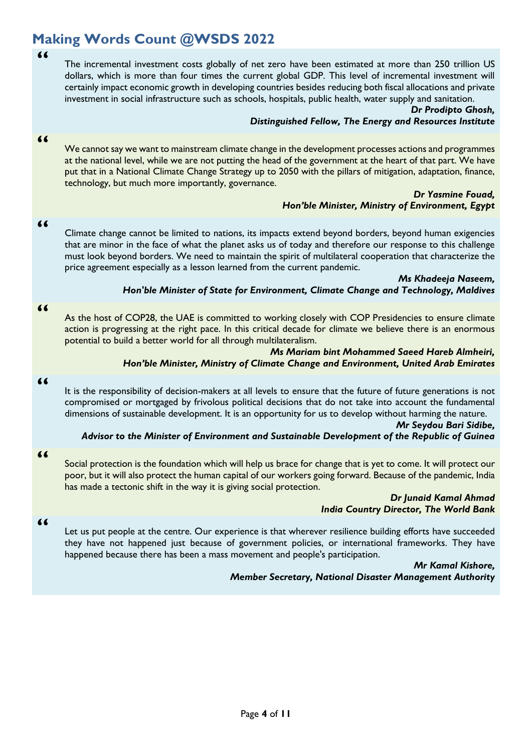# **Making Words Count @WSDS 2022**

**"**

The incremental investment costs globally of net zero have been estimated at more than 250 trillion US dollars, which is more than four times the current global GDP. This level of incremental investment will certainly impact economic growth in developing countries besides reducing both fiscal allocations and private investment in social infrastructure such as schools, hospitals, public health, water supply and sanitation.

#### *Dr Prodipto Ghosh, Distinguished Fellow, The Energy and Resources Institute*

#### **"**

We cannot say we want to mainstream climate change in the development processes actions and programmes at the national level, while we are not putting the head of the government at the heart of that part. We have put that in a National Climate Change Strategy up to 2050 with the pillars of mitigation, adaptation, finance, technology, but much more importantly, governance.

#### *Dr Yasmine Fouad, Hon'ble Minister, Ministry of Environment, Egypt*

#### **"**

Climate change cannot be limited to nations, its impacts extend beyond borders, beyond human exigencies that are minor in the face of what the planet asks us of today and therefore our response to this challenge must look beyond borders. We need to maintain the spirit of multilateral cooperation that characterize the price agreement especially as a lesson learned from the current pandemic.

*Ms Khadeeja Naseem,* 

#### *Hon'ble Minister of State for Environment, Climate Change and Technology, Maldives*

### As the host of COP28, the UAE is committed to working closely with COP Presidencies to ensure climate action is progressing at the right pace. In this critical decade for climate we believe there is an enormous potential to build a better world for all through multilateralism.

#### *Ms Mariam bint Mohammed Saeed Hareb Almheiri, Hon'ble Minister, Ministry of Climate Change and Environment, United Arab Emirates*

#### **"**

**"**

It is the responsibility of decision-makers at all levels to ensure that the future of future generations is not compromised or mortgaged by frivolous political decisions that do not take into account the fundamental dimensions of sustainable development. It is an opportunity for us to develop without harming the nature.

#### *Mr Seydou Bari Sidibe,*

### *Advisor to the Minister of Environment and Sustainable Development of the Republic of Guinea*

**"**

Social protection is the foundation which will help us brace for change that is yet to come. It will protect our poor, but it will also protect the human capital of our workers going forward. Because of the pandemic, India has made a tectonic shift in the way it is giving social protection.

#### *Dr Junaid Kamal Ahmad India Country Director, The World Bank*

**"**

Let us put people at the centre. Our experience is that wherever resilience building efforts have succeeded they have not happened just because of government policies, or international frameworks. They have happened because there has been a mass movement and people's participation.

> *Mr Kamal Kishore, Member Secretary, National Disaster Management Authority*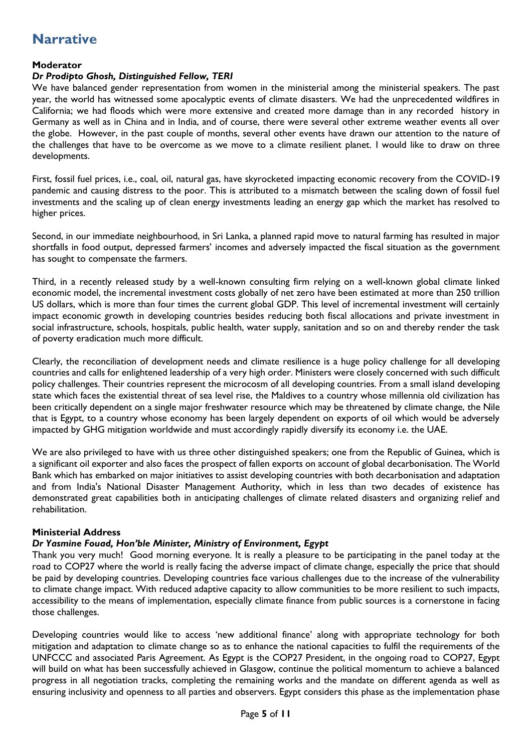## **Narrative**

#### **Moderator**

#### *Dr Prodipto Ghosh, Distinguished Fellow, TERI*

We have balanced gender representation from women in the ministerial among the ministerial speakers. The past year, the world has witnessed some apocalyptic events of climate disasters. We had the unprecedented wildfires in California; we had floods which were more extensive and created more damage than in any recorded history in Germany as well as in China and in India, and of course, there were several other extreme weather events all over the globe. However, in the past couple of months, several other events have drawn our attention to the nature of the challenges that have to be overcome as we move to a climate resilient planet. I would like to draw on three developments.

First, fossil fuel prices, i.e., coal, oil, natural gas, have skyrocketed impacting economic recovery from the COVID-19 pandemic and causing distress to the poor. This is attributed to a mismatch between the scaling down of fossil fuel investments and the scaling up of clean energy investments leading an energy gap which the market has resolved to higher prices.

Second, in our immediate neighbourhood, in Sri Lanka, a planned rapid move to natural farming has resulted in major shortfalls in food output, depressed farmers' incomes and adversely impacted the fiscal situation as the government has sought to compensate the farmers.

Third, in a recently released study by a well-known consulting firm relying on a well-known global climate linked economic model, the incremental investment costs globally of net zero have been estimated at more than 250 trillion US dollars, which is more than four times the current global GDP. This level of incremental investment will certainly impact economic growth in developing countries besides reducing both fiscal allocations and private investment in social infrastructure, schools, hospitals, public health, water supply, sanitation and so on and thereby render the task of poverty eradication much more difficult.

Clearly, the reconciliation of development needs and climate resilience is a huge policy challenge for all developing countries and calls for enlightened leadership of a very high order. Ministers were closely concerned with such difficult policy challenges. Their countries represent the microcosm of all developing countries. From a small island developing state which faces the existential threat of sea level rise, the Maldives to a country whose millennia old civilization has been critically dependent on a single major freshwater resource which may be threatened by climate change, the Nile that is Egypt, to a country whose economy has been largely dependent on exports of oil which would be adversely impacted by GHG mitigation worldwide and must accordingly rapidly diversify its economy i.e. the UAE.

We are also privileged to have with us three other distinguished speakers; one from the Republic of Guinea, which is a significant oil exporter and also faces the prospect of fallen exports on account of global decarbonisation. The World Bank which has embarked on major initiatives to assist developing countries with both decarbonisation and adaptation and from India's National Disaster Management Authority, which in less than two decades of existence has demonstrated great capabilities both in anticipating challenges of climate related disasters and organizing relief and rehabilitation.

#### **Ministerial Address**

#### *Dr Yasmine Fouad, Hon'ble Minister, Ministry of Environment, Egypt*

Thank you very much! Good morning everyone. It is really a pleasure to be participating in the panel today at the road to COP27 where the world is really facing the adverse impact of climate change, especially the price that should be paid by developing countries. Developing countries face various challenges due to the increase of the vulnerability to climate change impact. With reduced adaptive capacity to allow communities to be more resilient to such impacts, accessibility to the means of implementation, especially climate finance from public sources is a cornerstone in facing those challenges.

Developing countries would like to access 'new additional finance' along with appropriate technology for both mitigation and adaptation to climate change so as to enhance the national capacities to fulfil the requirements of the UNFCCC and associated Paris Agreement. As Egypt is the COP27 President, in the ongoing road to COP27, Egypt will build on what has been successfully achieved in Glasgow, continue the political momentum to achieve a balanced progress in all negotiation tracks, completing the remaining works and the mandate on different agenda as well as ensuring inclusivity and openness to all parties and observers. Egypt considers this phase as the implementation phase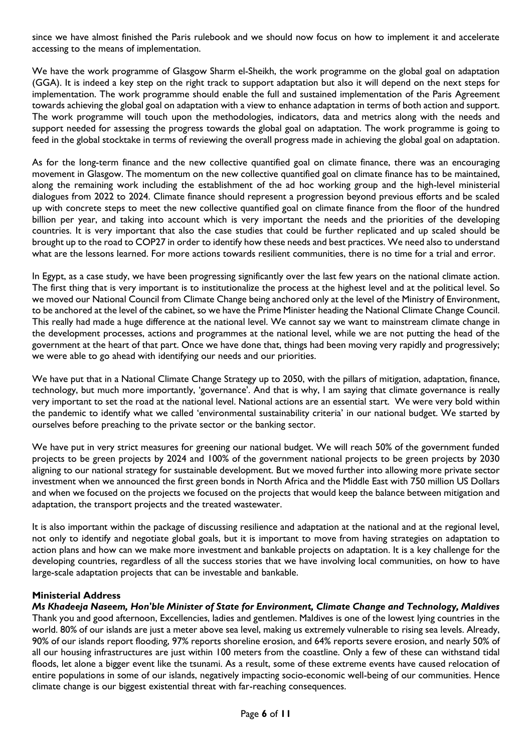since we have almost finished the Paris rulebook and we should now focus on how to implement it and accelerate accessing to the means of implementation.

We have the work programme of Glasgow Sharm el-Sheikh, the work programme on the global goal on adaptation (GGA). It is indeed a key step on the right track to support adaptation but also it will depend on the next steps for implementation. The work programme should enable the full and sustained implementation of the Paris Agreement towards achieving the global goal on adaptation with a view to enhance adaptation in terms of both action and support. The work programme will touch upon the methodologies, indicators, data and metrics along with the needs and support needed for assessing the progress towards the global goal on adaptation. The work programme is going to feed in the global stocktake in terms of reviewing the overall progress made in achieving the global goal on adaptation.

As for the long-term finance and the new collective quantified goal on climate finance, there was an encouraging movement in Glasgow. The momentum on the new collective quantified goal on climate finance has to be maintained, along the remaining work including the establishment of the ad hoc working group and the high-level ministerial dialogues from 2022 to 2024. Climate finance should represent a progression beyond previous efforts and be scaled up with concrete steps to meet the new collective quantified goal on climate finance from the floor of the hundred billion per year, and taking into account which is very important the needs and the priorities of the developing countries. It is very important that also the case studies that could be further replicated and up scaled should be brought up to the road to COP27 in order to identify how these needs and best practices. We need also to understand what are the lessons learned. For more actions towards resilient communities, there is no time for a trial and error.

In Egypt, as a case study, we have been progressing significantly over the last few years on the national climate action. The first thing that is very important is to institutionalize the process at the highest level and at the political level. So we moved our National Council from Climate Change being anchored only at the level of the Ministry of Environment, to be anchored at the level of the cabinet, so we have the Prime Minister heading the National Climate Change Council. This really had made a huge difference at the national level. We cannot say we want to mainstream climate change in the development processes, actions and programmes at the national level, while we are not putting the head of the government at the heart of that part. Once we have done that, things had been moving very rapidly and progressively; we were able to go ahead with identifying our needs and our priorities.

We have put that in a National Climate Change Strategy up to 2050, with the pillars of mitigation, adaptation, finance, technology, but much more importantly, 'governance'. And that is why, I am saying that climate governance is really very important to set the road at the national level. National actions are an essential start. We were very bold within the pandemic to identify what we called 'environmental sustainability criteria' in our national budget. We started by ourselves before preaching to the private sector or the banking sector.

We have put in very strict measures for greening our national budget. We will reach 50% of the government funded projects to be green projects by 2024 and 100% of the government national projects to be green projects by 2030 aligning to our national strategy for sustainable development. But we moved further into allowing more private sector investment when we announced the first green bonds in North Africa and the Middle East with 750 million US Dollars and when we focused on the projects we focused on the projects that would keep the balance between mitigation and adaptation, the transport projects and the treated wastewater.

It is also important within the package of discussing resilience and adaptation at the national and at the regional level, not only to identify and negotiate global goals, but it is important to move from having strategies on adaptation to action plans and how can we make more investment and bankable projects on adaptation. It is a key challenge for the developing countries, regardless of all the success stories that we have involving local communities, on how to have large-scale adaptation projects that can be investable and bankable.

#### **Ministerial Address**

*Ms Khadeeja Naseem, Hon'ble Minister of State for Environment, Climate Change and Technology, Maldives* Thank you and good afternoon, Excellencies, ladies and gentlemen. Maldives is one of the lowest lying countries in the world. 80% of our islands are just a meter above sea level, making us extremely vulnerable to rising sea levels. Already, 90% of our islands report flooding, 97% reports shoreline erosion, and 64% reports severe erosion, and nearly 50% of all our housing infrastructures are just within 100 meters from the coastline. Only a few of these can withstand tidal floods, let alone a bigger event like the tsunami. As a result, some of these extreme events have caused relocation of entire populations in some of our islands, negatively impacting socio-economic well-being of our communities. Hence climate change is our biggest existential threat with far-reaching consequences.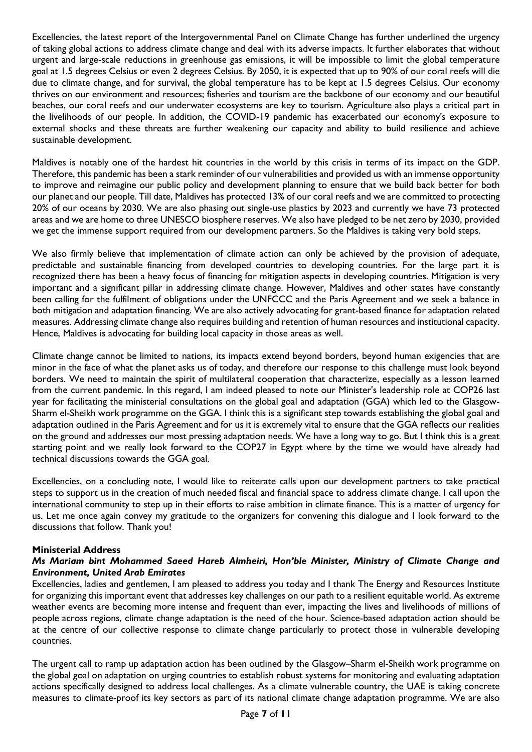Excellencies, the latest report of the Intergovernmental Panel on Climate Change has further underlined the urgency of taking global actions to address climate change and deal with its adverse impacts. It further elaborates that without urgent and large-scale reductions in greenhouse gas emissions, it will be impossible to limit the global temperature goal at 1.5 degrees Celsius or even 2 degrees Celsius. By 2050, it is expected that up to 90% of our coral reefs will die due to climate change, and for survival, the global temperature has to be kept at 1.5 degrees Celsius. Our economy thrives on our environment and resources; fisheries and tourism are the backbone of our economy and our beautiful beaches, our coral reefs and our underwater ecosystems are key to tourism. Agriculture also plays a critical part in the livelihoods of our people. In addition, the COVID-19 pandemic has exacerbated our economy's exposure to external shocks and these threats are further weakening our capacity and ability to build resilience and achieve sustainable development.

Maldives is notably one of the hardest hit countries in the world by this crisis in terms of its impact on the GDP. Therefore, this pandemic has been a stark reminder of our vulnerabilities and provided us with an immense opportunity to improve and reimagine our public policy and development planning to ensure that we build back better for both our planet and our people. Till date, Maldives has protected 13% of our coral reefs and we are committed to protecting 20% of our oceans by 2030. We are also phasing out single-use plastics by 2023 and currently we have 73 protected areas and we are home to three UNESCO biosphere reserves. We also have pledged to be net zero by 2030, provided we get the immense support required from our development partners. So the Maldives is taking very bold steps.

We also firmly believe that implementation of climate action can only be achieved by the provision of adequate, predictable and sustainable financing from developed countries to developing countries. For the large part it is recognized there has been a heavy focus of financing for mitigation aspects in developing countries. Mitigation is very important and a significant pillar in addressing climate change. However, Maldives and other states have constantly been calling for the fulfilment of obligations under the UNFCCC and the Paris Agreement and we seek a balance in both mitigation and adaptation financing. We are also actively advocating for grant-based finance for adaptation related measures. Addressing climate change also requires building and retention of human resources and institutional capacity. Hence, Maldives is advocating for building local capacity in those areas as well.

Climate change cannot be limited to nations, its impacts extend beyond borders, beyond human exigencies that are minor in the face of what the planet asks us of today, and therefore our response to this challenge must look beyond borders. We need to maintain the spirit of multilateral cooperation that characterize, especially as a lesson learned from the current pandemic. In this regard, I am indeed pleased to note our Minister's leadership role at COP26 last year for facilitating the ministerial consultations on the global goal and adaptation (GGA) which led to the Glasgow-Sharm el-Sheikh work programme on the GGA. I think this is a significant step towards establishing the global goal and adaptation outlined in the Paris Agreement and for us it is extremely vital to ensure that the GGA reflects our realities on the ground and addresses our most pressing adaptation needs. We have a long way to go. But I think this is a great starting point and we really look forward to the COP27 in Egypt where by the time we would have already had technical discussions towards the GGA goal.

Excellencies, on a concluding note, I would like to reiterate calls upon our development partners to take practical steps to support us in the creation of much needed fiscal and financial space to address climate change. I call upon the international community to step up in their efforts to raise ambition in climate finance. This is a matter of urgency for us. Let me once again convey my gratitude to the organizers for convening this dialogue and I look forward to the discussions that follow. Thank you!

#### **Ministerial Address**

#### *Ms Mariam bint Mohammed Saeed Hareb Almheiri, Hon'ble Minister, Ministry of Climate Change and Environment, United Arab Emirates*

Excellencies, ladies and gentlemen, I am pleased to address you today and I thank The Energy and Resources Institute for organizing this important event that addresses key challenges on our path to a resilient equitable world. As extreme weather events are becoming more intense and frequent than ever, impacting the lives and livelihoods of millions of people across regions, climate change adaptation is the need of the hour. Science-based adaptation action should be at the centre of our collective response to climate change particularly to protect those in vulnerable developing countries.

The urgent call to ramp up adaptation action has been outlined by the Glasgow–Sharm el-Sheikh work programme on the global goal on adaptation on urging countries to establish robust systems for monitoring and evaluating adaptation actions specifically designed to address local challenges. As a climate vulnerable country, the UAE is taking concrete measures to climate-proof its key sectors as part of its national climate change adaptation programme. We are also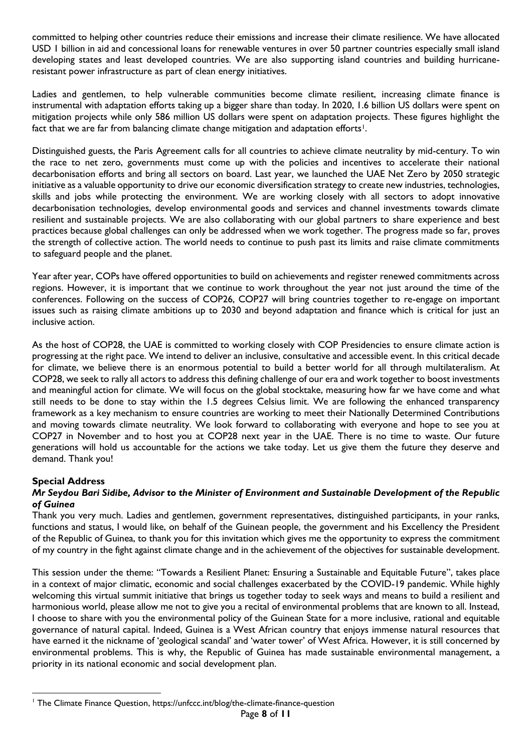committed to helping other countries reduce their emissions and increase their climate resilience. We have allocated USD 1 billion in aid and concessional loans for renewable ventures in over 50 partner countries especially small island developing states and least developed countries. We are also supporting island countries and building hurricaneresistant power infrastructure as part of clean energy initiatives.

Ladies and gentlemen, to help vulnerable communities become climate resilient, increasing climate finance is instrumental with adaptation efforts taking up a bigger share than today. In 2020, 1.6 billion US dollars were spent on mitigation projects while only 586 million US dollars were spent on adaptation projects. These figures highlight the fact that we are far from balancing climate change mitigation and adaptation efforts<sup>1</sup>.

Distinguished guests, the Paris Agreement calls for all countries to achieve climate neutrality by mid-century. To win the race to net zero, governments must come up with the policies and incentives to accelerate their national decarbonisation efforts and bring all sectors on board. Last year, we launched the UAE Net Zero by 2050 strategic initiative as a valuable opportunity to drive our economic diversification strategy to create new industries, technologies, skills and jobs while protecting the environment. We are working closely with all sectors to adopt innovative decarbonisation technologies, develop environmental goods and services and channel investments towards climate resilient and sustainable projects. We are also collaborating with our global partners to share experience and best practices because global challenges can only be addressed when we work together. The progress made so far, proves the strength of collective action. The world needs to continue to push past its limits and raise climate commitments to safeguard people and the planet.

Year after year, COPs have offered opportunities to build on achievements and register renewed commitments across regions. However, it is important that we continue to work throughout the year not just around the time of the conferences. Following on the success of COP26, COP27 will bring countries together to re-engage on important issues such as raising climate ambitions up to 2030 and beyond adaptation and finance which is critical for just an inclusive action.

As the host of COP28, the UAE is committed to working closely with COP Presidencies to ensure climate action is progressing at the right pace. We intend to deliver an inclusive, consultative and accessible event. In this critical decade for climate, we believe there is an enormous potential to build a better world for all through multilateralism. At COP28, we seek to rally all actors to address this defining challenge of our era and work together to boost investments and meaningful action for climate. We will focus on the global stocktake, measuring how far we have come and what still needs to be done to stay within the 1.5 degrees Celsius limit. We are following the enhanced transparency framework as a key mechanism to ensure countries are working to meet their Nationally Determined Contributions and moving towards climate neutrality. We look forward to collaborating with everyone and hope to see you at COP27 in November and to host you at COP28 next year in the UAE. There is no time to waste. Our future generations will hold us accountable for the actions we take today. Let us give them the future they deserve and demand. Thank you!

#### **Special Address**

#### *Mr Seydou Bari Sidibe, Advisor to the Minister of Environment and Sustainable Development of the Republic of Guinea*

Thank you very much. Ladies and gentlemen, government representatives, distinguished participants, in your ranks, functions and status, I would like, on behalf of the Guinean people, the government and his Excellency the President of the Republic of Guinea, to thank you for this invitation which gives me the opportunity to express the commitment of my country in the fight against climate change and in the achievement of the objectives for sustainable development.

This session under the theme: "Towards a Resilient Planet: Ensuring a Sustainable and Equitable Future", takes place in a context of major climatic, economic and social challenges exacerbated by the COVID-19 pandemic. While highly welcoming this virtual summit initiative that brings us together today to seek ways and means to build a resilient and harmonious world, please allow me not to give you a recital of environmental problems that are known to all. Instead, I choose to share with you the environmental policy of the Guinean State for a more inclusive, rational and equitable governance of natural capital. Indeed, Guinea is a West African country that enjoys immense natural resources that have earned it the nickname of 'geological scandal' and 'water tower' of West Africa. However, it is still concerned by environmental problems. This is why, the Republic of Guinea has made sustainable environmental management, a priority in its national economic and social development plan.

<sup>-</sup><sup>1</sup> The Climate Finance Question, https://unfccc.int/blog/the-climate-finance-question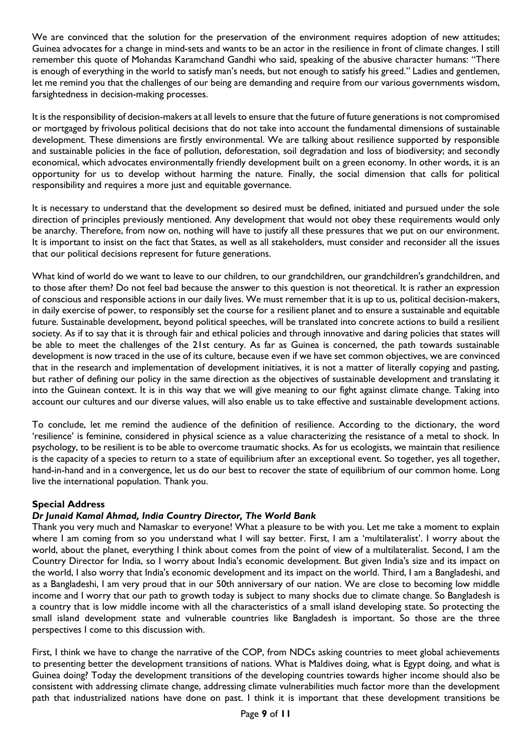We are convinced that the solution for the preservation of the environment requires adoption of new attitudes; Guinea advocates for a change in mind-sets and wants to be an actor in the resilience in front of climate changes. I still remember this quote of Mohandas Karamchand Gandhi who said, speaking of the abusive character humans: "There is enough of everything in the world to satisfy man's needs, but not enough to satisfy his greed." Ladies and gentlemen, let me remind you that the challenges of our being are demanding and require from our various governments wisdom, farsightedness in decision-making processes.

It is the responsibility of decision-makers at all levels to ensure that the future of future generations is not compromised or mortgaged by frivolous political decisions that do not take into account the fundamental dimensions of sustainable development. These dimensions are firstly environmental. We are talking about resilience supported by responsible and sustainable policies in the face of pollution, deforestation, soil degradation and loss of biodiversity; and secondly economical, which advocates environmentally friendly development built on a green economy. In other words, it is an opportunity for us to develop without harming the nature. Finally, the social dimension that calls for political responsibility and requires a more just and equitable governance.

It is necessary to understand that the development so desired must be defined, initiated and pursued under the sole direction of principles previously mentioned. Any development that would not obey these requirements would only be anarchy. Therefore, from now on, nothing will have to justify all these pressures that we put on our environment. It is important to insist on the fact that States, as well as all stakeholders, must consider and reconsider all the issues that our political decisions represent for future generations.

What kind of world do we want to leave to our children, to our grandchildren, our grandchildren's grandchildren, and to those after them? Do not feel bad because the answer to this question is not theoretical. It is rather an expression of conscious and responsible actions in our daily lives. We must remember that it is up to us, political decision-makers, in daily exercise of power, to responsibly set the course for a resilient planet and to ensure a sustainable and equitable future. Sustainable development, beyond political speeches, will be translated into concrete actions to build a resilient society. As if to say that it is through fair and ethical policies and through innovative and daring policies that states will be able to meet the challenges of the 21st century. As far as Guinea is concerned, the path towards sustainable development is now traced in the use of its culture, because even if we have set common objectives, we are convinced that in the research and implementation of development initiatives, it is not a matter of literally copying and pasting, but rather of defining our policy in the same direction as the objectives of sustainable development and translating it into the Guinean context. It is in this way that we will give meaning to our fight against climate change. Taking into account our cultures and our diverse values, will also enable us to take effective and sustainable development actions.

To conclude, let me remind the audience of the definition of resilience. According to the dictionary, the word 'resilience' is feminine, considered in physical science as a value characterizing the resistance of a metal to shock. In psychology, to be resilient is to be able to overcome traumatic shocks. As for us ecologists, we maintain that resilience is the capacity of a species to return to a state of equilibrium after an exceptional event. So together, yes all together, hand-in-hand and in a convergence, let us do our best to recover the state of equilibrium of our common home. Long live the international population. Thank you.

#### **Special Address**

#### *Dr Junaid Kamal Ahmad, India Country Director, The World Bank*

Thank you very much and Namaskar to everyone! What a pleasure to be with you. Let me take a moment to explain where I am coming from so you understand what I will say better. First, I am a 'multilateralist'. I worry about the world, about the planet, everything I think about comes from the point of view of a multilateralist. Second, I am the Country Director for India, so I worry about India's economic development. But given India's size and its impact on the world, I also worry that India's economic development and its impact on the world. Third, I am a Bangladeshi, and as a Bangladeshi, I am very proud that in our 50th anniversary of our nation. We are close to becoming low middle income and I worry that our path to growth today is subject to many shocks due to climate change. So Bangladesh is a country that is low middle income with all the characteristics of a small island developing state. So protecting the small island development state and vulnerable countries like Bangladesh is important. So those are the three perspectives I come to this discussion with.

First, I think we have to change the narrative of the COP, from NDCs asking countries to meet global achievements to presenting better the development transitions of nations. What is Maldives doing, what is Egypt doing, and what is Guinea doing? Today the development transitions of the developing countries towards higher income should also be consistent with addressing climate change, addressing climate vulnerabilities much factor more than the development path that industrialized nations have done on past. I think it is important that these development transitions be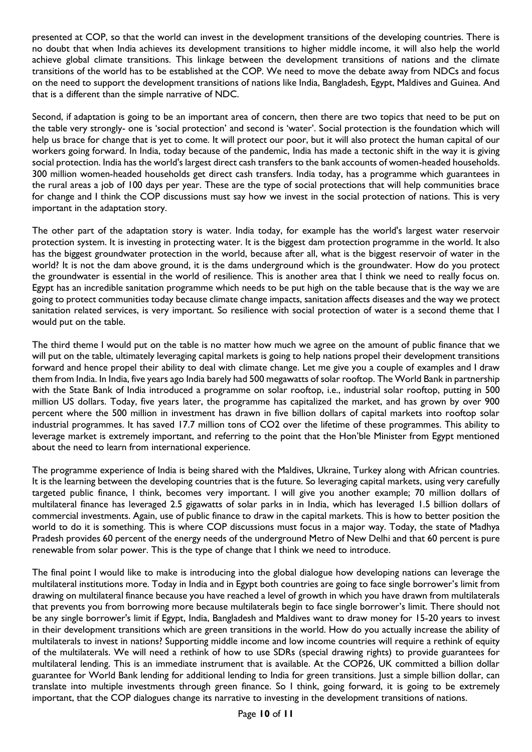presented at COP, so that the world can invest in the development transitions of the developing countries. There is no doubt that when India achieves its development transitions to higher middle income, it will also help the world achieve global climate transitions. This linkage between the development transitions of nations and the climate transitions of the world has to be established at the COP. We need to move the debate away from NDCs and focus on the need to support the development transitions of nations like India, Bangladesh, Egypt, Maldives and Guinea. And that is a different than the simple narrative of NDC.

Second, if adaptation is going to be an important area of concern, then there are two topics that need to be put on the table very strongly- one is 'social protection' and second is 'water'. Social protection is the foundation which will help us brace for change that is yet to come. It will protect our poor, but it will also protect the human capital of our workers going forward. In India, today because of the pandemic, India has made a tectonic shift in the way it is giving social protection. India has the world's largest direct cash transfers to the bank accounts of women-headed households. 300 million women-headed households get direct cash transfers. India today, has a programme which guarantees in the rural areas a job of 100 days per year. These are the type of social protections that will help communities brace for change and I think the COP discussions must say how we invest in the social protection of nations. This is very important in the adaptation story.

The other part of the adaptation story is water. India today, for example has the world's largest water reservoir protection system. It is investing in protecting water. It is the biggest dam protection programme in the world. It also has the biggest groundwater protection in the world, because after all, what is the biggest reservoir of water in the world? It is not the dam above ground, it is the dams underground which is the groundwater. How do you protect the groundwater is essential in the world of resilience. This is another area that I think we need to really focus on. Egypt has an incredible sanitation programme which needs to be put high on the table because that is the way we are going to protect communities today because climate change impacts, sanitation affects diseases and the way we protect sanitation related services, is very important. So resilience with social protection of water is a second theme that I would put on the table.

The third theme I would put on the table is no matter how much we agree on the amount of public finance that we will put on the table, ultimately leveraging capital markets is going to help nations propel their development transitions forward and hence propel their ability to deal with climate change. Let me give you a couple of examples and I draw them from India. In India, five years ago India barely had 500 megawatts of solar rooftop. The World Bank in partnership with the State Bank of India introduced a programme on solar rooftop, i.e., industrial solar rooftop, putting in 500 million US dollars. Today, five years later, the programme has capitalized the market, and has grown by over 900 percent where the 500 million in investment has drawn in five billion dollars of capital markets into rooftop solar industrial programmes. It has saved 17.7 million tons of CO2 over the lifetime of these programmes. This ability to leverage market is extremely important, and referring to the point that the Hon'ble Minister from Egypt mentioned about the need to learn from international experience.

The programme experience of India is being shared with the Maldives, Ukraine, Turkey along with African countries. It is the learning between the developing countries that is the future. So leveraging capital markets, using very carefully targeted public finance, I think, becomes very important. I will give you another example; 70 million dollars of multilateral finance has leveraged 2.5 gigawatts of solar parks in in India, which has leveraged 1.5 billion dollars of commercial investments. Again, use of public finance to draw in the capital markets. This is how to better position the world to do it is something. This is where COP discussions must focus in a major way. Today, the state of Madhya Pradesh provides 60 percent of the energy needs of the underground Metro of New Delhi and that 60 percent is pure renewable from solar power. This is the type of change that I think we need to introduce.

The final point I would like to make is introducing into the global dialogue how developing nations can leverage the multilateral institutions more. Today in India and in Egypt both countries are going to face single borrower's limit from drawing on multilateral finance because you have reached a level of growth in which you have drawn from multilaterals that prevents you from borrowing more because multilaterals begin to face single borrower's limit. There should not be any single borrower's limit if Egypt, India, Bangladesh and Maldives want to draw money for 15-20 years to invest in their development transitions which are green transitions in the world. How do you actually increase the ability of multilaterals to invest in nations? Supporting middle income and low income countries will require a rethink of equity of the multilaterals. We will need a rethink of how to use SDRs (special drawing rights) to provide guarantees for multilateral lending. This is an immediate instrument that is available. At the COP26, UK committed a billion dollar guarantee for World Bank lending for additional lending to India for green transitions. Just a simple billion dollar, can translate into multiple investments through green finance. So I think, going forward, it is going to be extremely important, that the COP dialogues change its narrative to investing in the development transitions of nations.